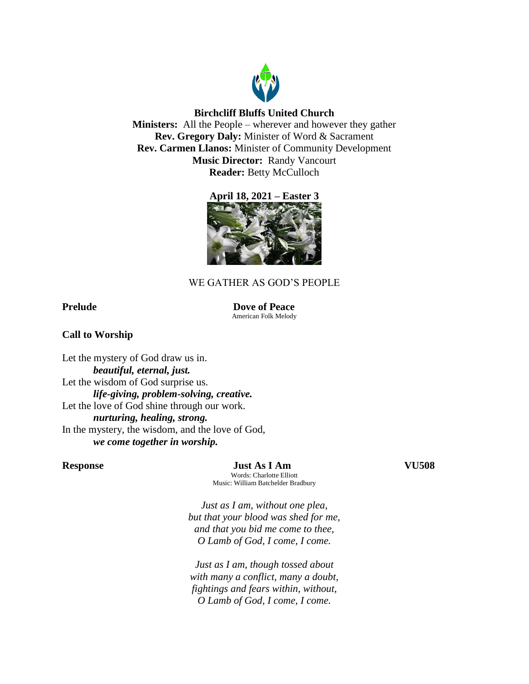

## **Birchcliff Bluffs United Church**

**Ministers:** All the People – wherever and however they gather **Rev. Gregory Daly:** Minister of Word & Sacrament **Rev. Carmen Llanos:** Minister of Community Development **Music Director:** Randy Vancourt **Reader:** Betty McCulloch





# WE GATHER AS GOD'S PEOPLE

**Prelude Dove of Peace** American Folk Melody

## **Call to Worship**

Let the mystery of God draw us in. *beautiful, eternal, just.* Let the wisdom of God surprise us. *life-giving, problem-solving, creative.* Let the love of God shine through our work. *nurturing, healing, strong.* In the mystery, the wisdom, and the love of God, *we come together in worship.*

**Response Just As I Am VU508**

Words: Charlotte Elliott Music: William Batchelder Bradbury

*Just as I am, without one plea, but that your blood was shed for me, and that you bid me come to thee, O Lamb of God, I come, I come.*

*Just as I am, though tossed about with many a conflict, many a doubt, fightings and fears within, without, O Lamb of God, I come, I come.*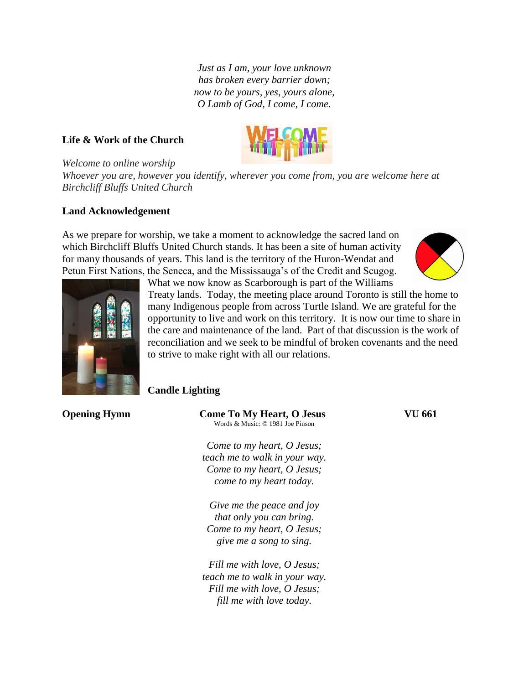*Just as I am, your love unknown has broken every barrier down; now to be yours, yes, yours alone, O Lamb of God, I come, I come.*

## **Life & Work of the Church**



*Welcome to online worship*

*Whoever you are, however you identify, wherever you come from, you are welcome here at Birchcliff Bluffs United Church*

#### **Land Acknowledgement**

As we prepare for worship, we take a moment to acknowledge the sacred land on which Birchcliff Bluffs United Church stands. It has been a site of human activity for many thousands of years. This land is the territory of the Huron-Wendat and Petun First Nations, the Seneca, and the Mississauga's of the Credit and Scugog.





What we now know as Scarborough is part of the Williams

Treaty lands. Today, the meeting place around Toronto is still the home to many Indigenous people from across Turtle Island. We are grateful for the opportunity to live and work on this territory. It is now our time to share in the care and maintenance of the land. Part of that discussion is the work of reconciliation and we seek to be mindful of broken covenants and the need to strive to make right with all our relations.

## **Candle Lighting**

| <b>Opening Hymn</b> | <b>Come To My Heart, O Jesus</b><br>Words & Music: © 1981 Joe Pinson | VU 661 |
|---------------------|----------------------------------------------------------------------|--------|
|                     | Come to my heart, O Jesus;                                           |        |
|                     | teach me to walk in your way.                                        |        |
|                     | Come to my heart, O Jesus;                                           |        |
|                     | come to my heart today.                                              |        |
|                     | Give me the peace and joy                                            |        |
|                     | that only you can bring.                                             |        |
|                     | Come to my heart, O Jesus;                                           |        |
|                     | give me a song to sing.                                              |        |
|                     | Fill me with love, O Jesus;                                          |        |
|                     |                                                                      |        |

*teach me to walk in your way. Fill me with love, O Jesus; fill me with love today.*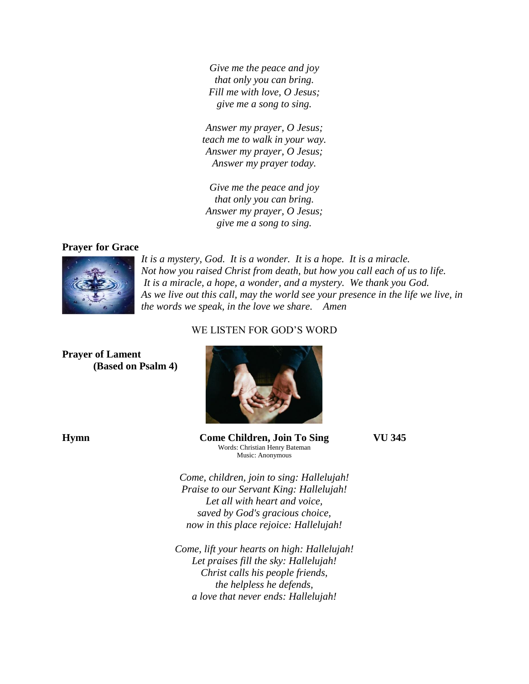*Give me the peace and joy that only you can bring. Fill me with love, O Jesus; give me a song to sing.*

*Answer my prayer, O Jesus; teach me to walk in your way. Answer my prayer, O Jesus; Answer my prayer today.*

*Give me the peace and joy that only you can bring. Answer my prayer, O Jesus; give me a song to sing.*

## **Prayer for Grace**



*It is a mystery, God. It is a wonder. It is a hope. It is a miracle. Not how you raised Christ from death, but how you call each of us to life. It is a miracle, a hope, a wonder, and a mystery. We thank you God. As we live out this call, may the world see your presence in the life we live, in the words we speak, in the love we share. Amen*

## WE LISTEN FOR GOD'S WORD

**Prayer of Lament (Based on Psalm 4)**



**Hymn Come Children, Join To Sing VU 345** Words: Christian Henry Bateman Music: Anonymous

*Come, children, join to sing: Hallelujah! Praise to our Servant King: Hallelujah! Let all with heart and voice, saved by God's gracious choice, now in this place rejoice: Hallelujah!*

*Come, lift your hearts on high: Hallelujah! Let praises fill the sky: Hallelujah! Christ calls his people friends, the helpless he defends, a love that never ends: Hallelujah!*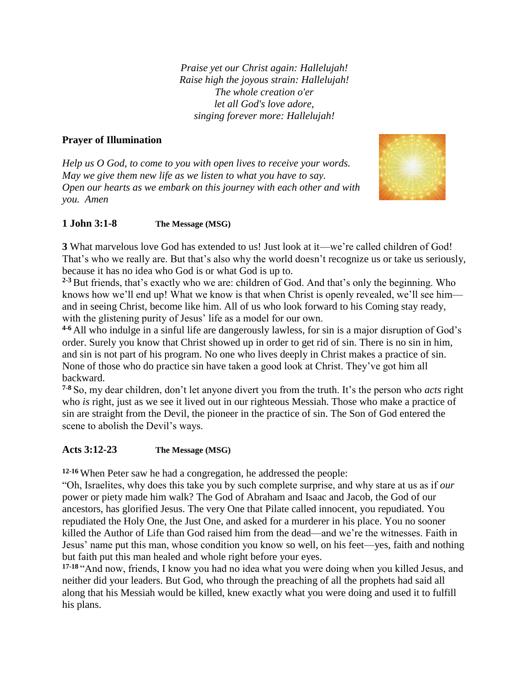*Praise yet our Christ again: Hallelujah! Raise high the joyous strain: Hallelujah! The whole creation o'er let all God's love adore, singing forever more: Hallelujah!*

# **Prayer of Illumination**

*Help us O God, to come to you with open lives to receive your words. May we give them new life as we listen to what you have to say. Open our hearts as we embark on this journey with each other and with you. Amen*



# **1 John 3:1-8 The Message (MSG)**

**3** What marvelous love God has extended to us! Just look at it—we're called children of God! That's who we really are. But that's also why the world doesn't recognize us or take us seriously, because it has no idea who God is or what God is up to.

**2-3** But friends, that's exactly who we are: children of God. And that's only the beginning. Who knows how we'll end up! What we know is that when Christ is openly revealed, we'll see him and in seeing Christ, become like him. All of us who look forward to his Coming stay ready, with the glistening purity of Jesus' life as a model for our own.

**4-6** All who indulge in a sinful life are dangerously lawless, for sin is a major disruption of God's order. Surely you know that Christ showed up in order to get rid of sin. There is no sin in him, and sin is not part of his program. No one who lives deeply in Christ makes a practice of sin. None of those who do practice sin have taken a good look at Christ. They've got him all backward.

**7-8** So, my dear children, don't let anyone divert you from the truth. It's the person who *acts* right who *is* right, just as we see it lived out in our righteous Messiah. Those who make a practice of sin are straight from the Devil, the pioneer in the practice of sin. The Son of God entered the scene to abolish the Devil's ways.

# **Acts 3:12-23 The Message (MSG)**

**12-16** When Peter saw he had a congregation, he addressed the people:

"Oh, Israelites, why does this take you by such complete surprise, and why stare at us as if *our* power or piety made him walk? The God of Abraham and Isaac and Jacob, the God of our ancestors, has glorified Jesus. The very One that Pilate called innocent, you repudiated. You repudiated the Holy One, the Just One, and asked for a murderer in his place. You no sooner killed the Author of Life than God raised him from the dead—and we're the witnesses. Faith in Jesus' name put this man, whose condition you know so well, on his feet—yes, faith and nothing but faith put this man healed and whole right before your eyes.

**17-18** "And now, friends, I know you had no idea what you were doing when you killed Jesus, and neither did your leaders. But God, who through the preaching of all the prophets had said all along that his Messiah would be killed, knew exactly what you were doing and used it to fulfill his plans.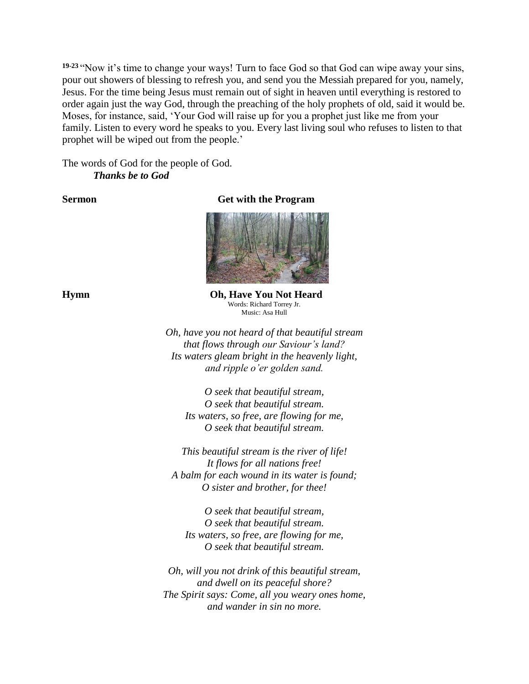**19-23** "Now it's time to change your ways! Turn to face God so that God can wipe away your sins, pour out showers of blessing to refresh you, and send you the Messiah prepared for you, namely, Jesus. For the time being Jesus must remain out of sight in heaven until everything is restored to order again just the way God, through the preaching of the holy prophets of old, said it would be. Moses, for instance, said, 'Your God will raise up for you a prophet just like me from your family. Listen to every word he speaks to you. Every last living soul who refuses to listen to that prophet will be wiped out from the people.'

The words of God for the people of God. *Thanks be to God*

**Sermon Get with the Program**



**Hymn Oh, Have You Not Heard** Words: Richard Torrey Jr. Music: Asa Hull

> *Oh, have you not heard of that beautiful stream that flows through our Saviour's land? Its waters gleam bright in the heavenly light, and ripple o'er golden sand.*

*O seek that beautiful stream, O seek that beautiful stream. Its waters, so free, are flowing for me, O seek that beautiful stream.*

*This beautiful stream is the river of life! It flows for all nations free! A balm for each wound in its water is found; O sister and brother, for thee!*

*O seek that beautiful stream, O seek that beautiful stream. Its waters, so free, are flowing for me, O seek that beautiful stream.*

*Oh, will you not drink of this beautiful stream, and dwell on its peaceful shore? The Spirit says: Come, all you weary ones home, and wander in sin no more.*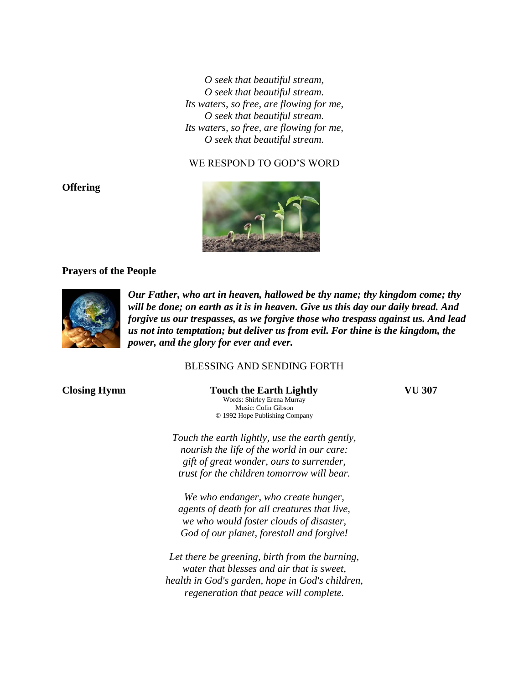*O seek that beautiful stream, O seek that beautiful stream. Its waters, so free, are flowing for me, O seek that beautiful stream. Its waters, so free, are flowing for me, O seek that beautiful stream.*

## WE RESPOND TO GOD'S WORD



## **Prayers of the People**



*Our Father, who art in heaven, hallowed be thy name; thy kingdom come; thy will be done; on earth as it is in heaven. Give us this day our daily bread. And forgive us our trespasses, as we forgive those who trespass against us. And lead us not into temptation; but deliver us from evil. For thine is the kingdom, the power, and the glory for ever and ever.* 

## BLESSING AND SENDING FORTH

**Closing Hymn** Touch the Earth Lightly **VU 307** Words: Shirley Erena Murray Music: Colin Gibson © 1992 Hope Publishing Company

> *Touch the earth lightly, use the earth gently, nourish the life of the world in our care: gift of great wonder, ours to surrender,*

*We who endanger, who create hunger, agents of death for all creatures that live, we who would foster clouds of disaster, God of our planet, forestall and forgive!*

*trust for the children tomorrow will bear.*

*Let there be greening, birth from the burning, water that blesses and air that is sweet, health in God's garden, hope in God's children, regeneration that peace will complete.*

**Offering**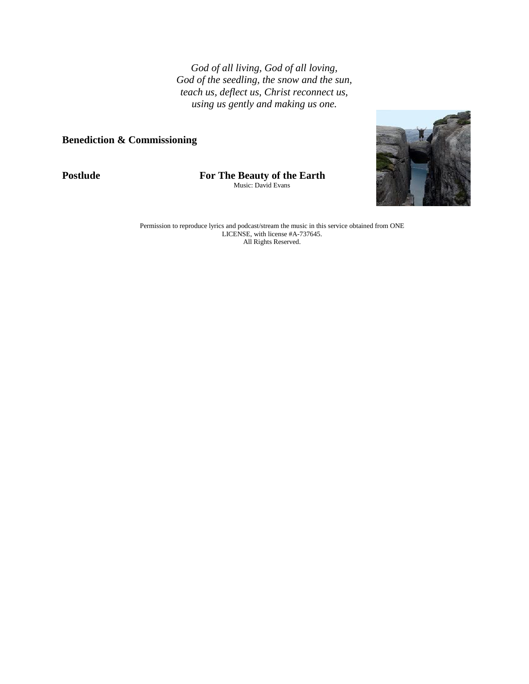*God of all living, God of all loving, God of the seedling, the snow and the sun, teach us, deflect us, Christ reconnect us, using us gently and making us one.*

## **Benediction & Commissioning**

**Postlude For The Beauty of the Earth**

Music: David Evans



Permission to reproduce lyrics and podcast/stream the music in this service obtained from ONE LICENSE, with license #A-737645. All Rights Reserved.